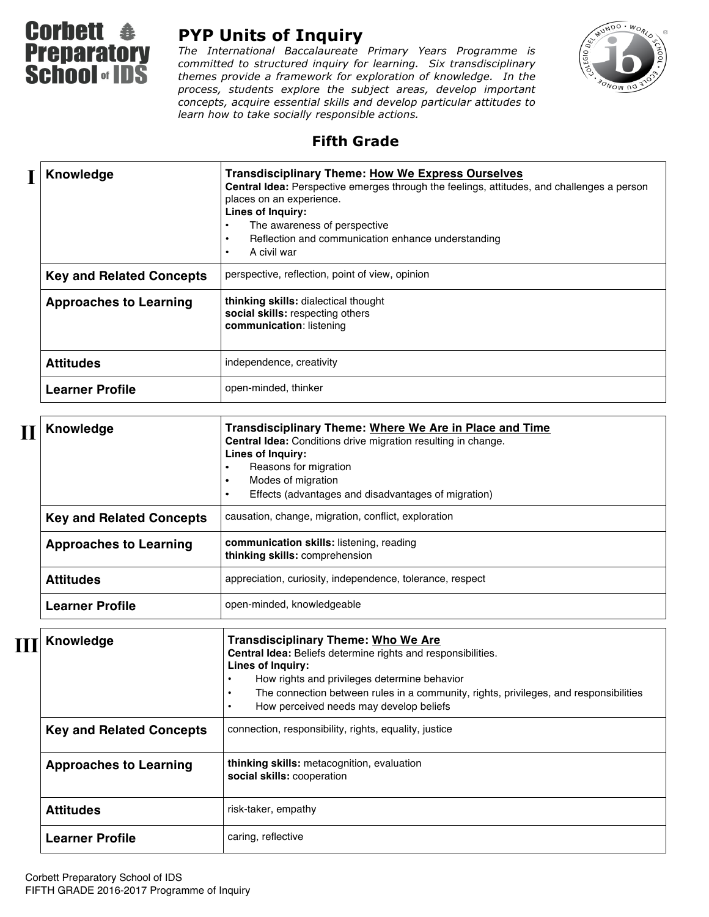

## **PYP Units of Inquiry**

*The International Baccalaureate Primary Years Programme is committed to structured inquiry for learning. Six transdisciplinary themes provide a framework for exploration of knowledge. In the process, students explore the subject areas, develop important concepts, acquire essential skills and develop particular attitudes to learn how to take socially responsible actions.*



## **Fifth Grade**

|  | Knowledge                       | <b>Transdisciplinary Theme: How We Express Ourselves</b><br>Central Idea: Perspective emerges through the feelings, attitudes, and challenges a person<br>places on an experience.<br>Lines of Inquiry:<br>The awareness of perspective<br>٠<br>Reflection and communication enhance understanding<br>$\bullet$<br>A civil war<br>$\bullet$ |
|--|---------------------------------|---------------------------------------------------------------------------------------------------------------------------------------------------------------------------------------------------------------------------------------------------------------------------------------------------------------------------------------------|
|  | <b>Key and Related Concepts</b> | perspective, reflection, point of view, opinion                                                                                                                                                                                                                                                                                             |
|  | <b>Approaches to Learning</b>   | thinking skills: dialectical thought<br>social skills: respecting others<br>communication: listening                                                                                                                                                                                                                                        |
|  | <b>Attitudes</b>                | independence, creativity                                                                                                                                                                                                                                                                                                                    |
|  | <b>Learner Profile</b>          | open-minded, thinker                                                                                                                                                                                                                                                                                                                        |

| <b>Knowledge</b>                | Transdisciplinary Theme: Where We Are in Place and Time<br>Central Idea: Conditions drive migration resulting in change.<br>Lines of Inquiry:<br>Reasons for migration<br>Modes of migration<br>Effects (advantages and disadvantages of migration) |
|---------------------------------|-----------------------------------------------------------------------------------------------------------------------------------------------------------------------------------------------------------------------------------------------------|
| <b>Key and Related Concepts</b> | causation, change, migration, conflict, exploration                                                                                                                                                                                                 |
| <b>Approaches to Learning</b>   | communication skills: listening, reading<br>thinking skills: comprehension                                                                                                                                                                          |
| <b>Attitudes</b>                | appreciation, curiosity, independence, tolerance, respect                                                                                                                                                                                           |
| <b>Learner Profile</b>          | open-minded, knowledgeable                                                                                                                                                                                                                          |

| Knowledge                       | <b>Transdisciplinary Theme: Who We Are</b><br><b>Central Idea:</b> Beliefs determine rights and responsibilities.<br>Lines of Inquiry:<br>How rights and privileges determine behavior<br>The connection between rules in a community, rights, privileges, and responsibilities<br>How perceived needs may develop beliefs |
|---------------------------------|----------------------------------------------------------------------------------------------------------------------------------------------------------------------------------------------------------------------------------------------------------------------------------------------------------------------------|
| <b>Key and Related Concepts</b> | connection, responsibility, rights, equality, justice                                                                                                                                                                                                                                                                      |
| <b>Approaches to Learning</b>   | thinking skills: metacognition, evaluation<br>social skills: cooperation                                                                                                                                                                                                                                                   |
| <b>Attitudes</b>                | risk-taker, empathy                                                                                                                                                                                                                                                                                                        |
| <b>Learner Profile</b>          | caring, reflective                                                                                                                                                                                                                                                                                                         |